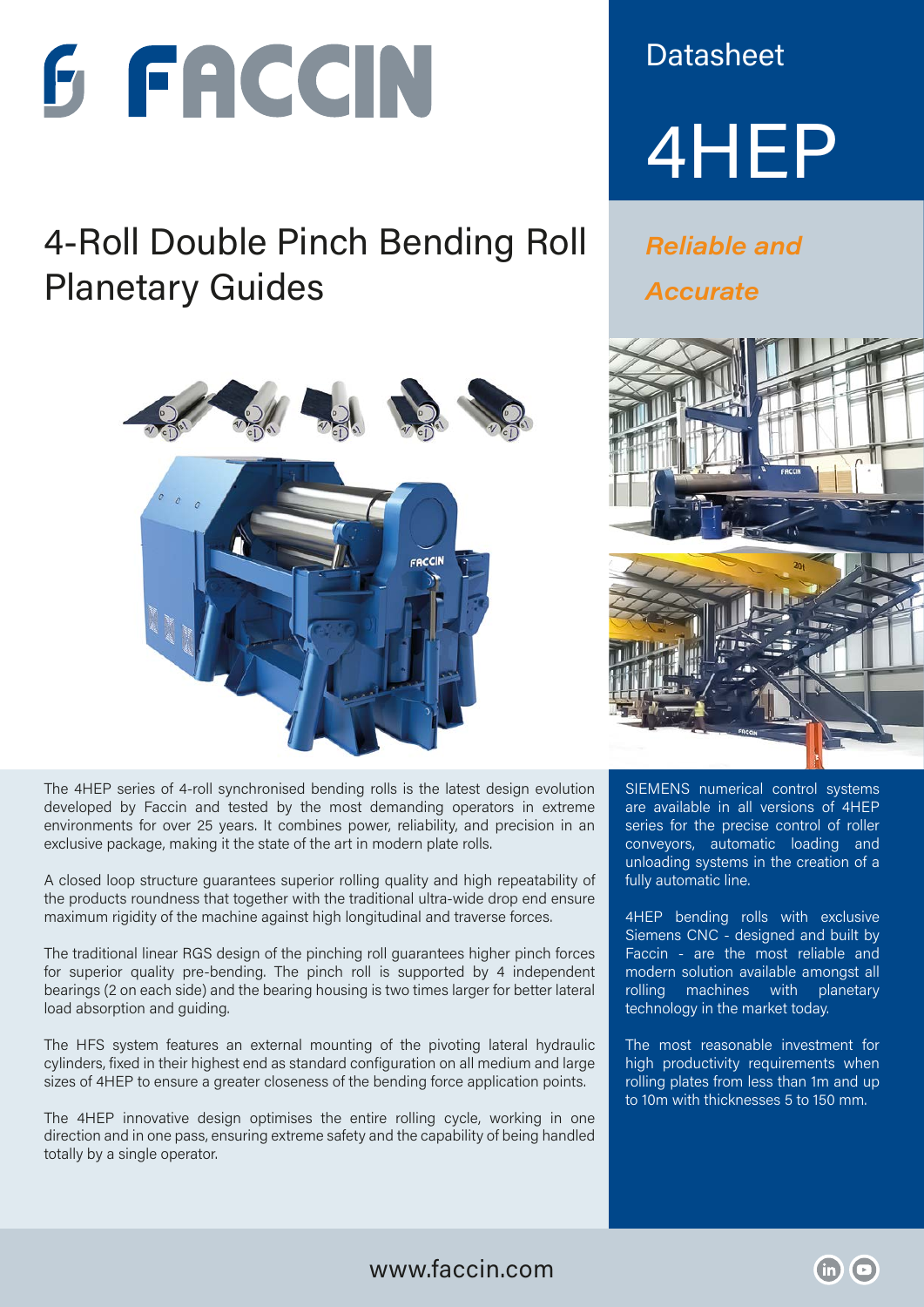

## 4-Roll Double Pinch Bending Roll **Planetary Guides**



The 4HEP series of 4-roll synchronised bending rolls is the latest design evolution developed by Faccin and tested by the most demanding operators in extreme environments for over 25 years. It combines power, reliability, and precision in an exclusive package, making it the state of the art in modern plate rolls.

A closed loop structure guarantees superior rolling quality and high repeatability of the products roundness that together with the traditional ultra-wide drop end ensure maximum rigidity of the machine against high longitudinal and traverse forces.

The traditional linear RGS design of the pinching roll guarantees higher pinch forces for superior quality pre-bending. The pinch roll is supported by 4 independent bearings (2 on each side) and the bearing housing is two times larger for better lateral load absorption and guiding.

The HFS system features an external mounting of the pivoting lateral hydraulic cylinders, fixed in their highest end as standard configuration on all medium and large sizes of 4HEP to ensure a greater closeness of the bending force application points.

The 4HEP innovative design optimises the entire rolling cycle, working in one direction and in one pass, ensuring extreme safety and the capability of being handled totally by a single operator.

**Datasheet** 



**Reliable and Accurate** 



SIEMENS numerical control systems are available in all versions of 4HEP series for the precise control of roller conveyors, automatic loading and unloading systems in the creation of a fully automatic line.

4HEP bending rolls with exclusive Siemens CNC - designed and built by Faccin - are the most reliable and modern solution available amongst all rolling machines with planetary technology in the market today.

The most reasonable investment for high productivity requirements when rolling plates from less than 1m and up to 10m with thicknesses 5 to 150 mm.

http://www.linkedin.com/company/factorships/factorships/factorships/factorships/factorships/factorships/factor<br>The company/factorships/factorships/factorships/factorships/factorships/factorships/factorships/factorships/fa  $\Theta$